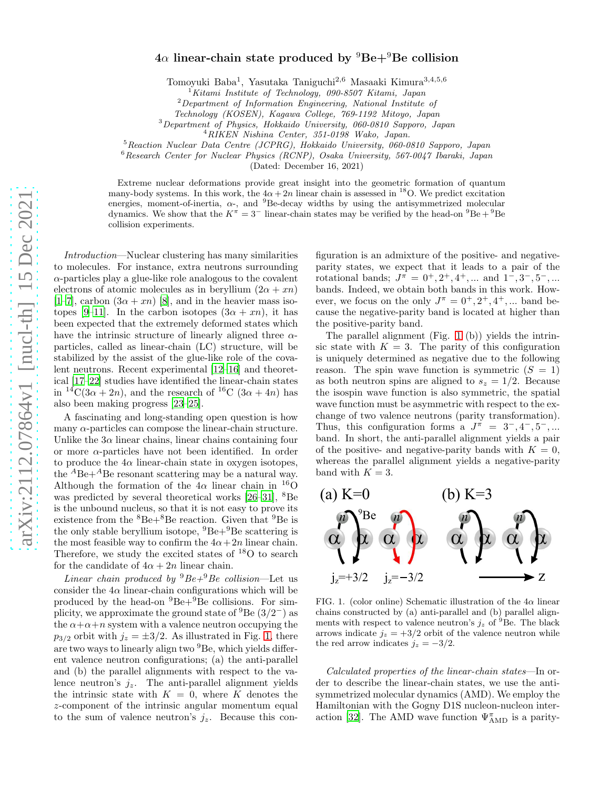## $4\alpha$  linear-chain state produced by  ${}^{9}Be+{}^{9}Be$  collision

Tomoyuki Baba<sup>1</sup> , Yasutaka Taniguchi2,<sup>6</sup> Masaaki Kimura3,4,5,<sup>6</sup>

 $1$ Kitami Institute of Technology, 090-8507 Kitami, Japan

 $2$ Department of Information Engineering, National Institute of

Technology (KOSEN), Kagawa College, 769-1192 Mitoyo, Japan

<sup>3</sup>Department of Physics, Hokkaido University, 060-0810 Sapporo, Japan

<sup>5</sup>Reaction Nuclear Data Centre (JCPRG), Hokkaido University, 060-0810 Sapporo, Japan

<sup>6</sup>Research Center for Nuclear Physics (RCNP), Osaka University, 567-0047 Ibaraki, Japan

(Dated: December 16, 2021)

Extreme nuclear deformations provide great insight into the geometric formation of quantum many-body systems. In this work, the  $4\alpha + 2n$  linear chain is assessed in <sup>18</sup>O. We predict excitation energies, moment-of-inertia,  $\alpha$ -, and <sup>9</sup>Be-decay widths by using the antisymmetrized molecular dynamics. We show that the  $K^{\pi} = 3^{-}$  linear-chain states may be verified by the head-on  $^{9}Be + ^{9}Be$ collision experiments.

Introduction—Nuclear clustering has many similarities to molecules. For instance, extra neutrons surrounding  $\alpha$ -particles play a glue-like role analogous to the covalent electrons of atomic molecules as in beryllium  $(2\alpha + xn)$ [\[1](#page-3-0)[–7\]](#page-4-0), carbon  $(3\alpha + xn)$  [\[8\]](#page-4-1), and in the heavier mass iso-topes [\[9](#page-4-2)[–11](#page-4-3)]. In the carbon isotopes  $(3\alpha + xn)$ , it has been expected that the extremely deformed states which have the intrinsic structure of linearly aligned three  $\alpha$ particles, called as linear-chain (LC) structure, will be stabilized by the assist of the glue-like role of the covalent neutrons. Recent experimental [\[12](#page-4-4)[–16](#page-4-5)] and theoretical [\[17](#page-4-6)[–22\]](#page-4-7) studies have identified the linear-chain states in  ${}^{14}C(3\alpha + 2n)$ , and the research of  ${}^{16}C(3\alpha + 4n)$  has also been making progress [\[23](#page-4-8)[–25](#page-4-9)].

A fascinating and long-standing open question is how many  $\alpha$ -particles can compose the linear-chain structure. Unlike the  $3\alpha$  linear chains, linear chains containing four or more  $\alpha$ -particles have not been identified. In order to produce the  $4\alpha$  linear-chain state in oxygen isotopes, the  ${}^{A}$ Be+ ${}^{A}$ Be resonant scattering may be a natural way. Although the formation of the  $4\alpha$  linear chain in <sup>16</sup>O was predicted by several theoretical works [\[26](#page-4-10)[–31](#page-4-11)], <sup>8</sup>Be is the unbound nucleus, so that it is not easy to prove its existence from the  ${}^{8}Be+{}^{8}Be$  reaction. Given that  ${}^{9}Be$  is the only stable beryllium isotope,  ${}^{9}Be+{}^{9}Be$  scattering is the most feasible way to confirm the  $4\alpha + 2n$  linear chain. Therefore, we study the excited states of  $^{18}O$  to search for the candidate of  $4\alpha + 2n$  linear chain.

Linear chain produced by  ${}^{9}Be+{}^{9}Be$  collision—Let us consider the  $4\alpha$  linear-chain configurations which will be produced by the head-on  ${}^{9}Be+{}^{9}Be$  collisions. For simplicity, we approximate the ground state of  ${}^{9}$ Be  $(3/2^-)$  as the  $\alpha + \alpha + n$  system with a valence neutron occupying the  $p_{3/2}$  orbit with  $j_z = \pm 3/2$ . As illustrated in Fig. [1,](#page-0-0) there are two ways to linearly align two <sup>9</sup>Be, which yields different valence neutron configurations; (a) the anti-parallel and (b) the parallel alignments with respect to the valence neutron's  $j_z$ . The anti-parallel alignment yields the intrinsic state with  $K = 0$ , where K denotes the z-component of the intrinsic angular momentum equal to the sum of valence neutron's  $j_z$ . Because this con-

figuration is an admixture of the positive- and negativeparity states, we expect that it leads to a pair of the rotational bands;  $J^{\pi} = 0^+, 2^+, 4^+, \dots$  and  $1^-, 3^-, 5^-, \dots$ bands. Indeed, we obtain both bands in this work. However, we focus on the only  $J^{\pi} = 0^+, 2^+, 4^+, \dots$  band because the negative-parity band is located at higher than the positive-parity band.

The parallel alignment (Fig. [1](#page-0-0) (b)) yields the intrinsic state with  $K = 3$ . The parity of this configuration is uniquely determined as negative due to the following reason. The spin wave function is symmetric  $(S = 1)$ as both neutron spins are aligned to  $s_z = 1/2$ . Because the isospin wave function is also symmetric, the spatial wave function must be asymmetric with respect to the exchange of two valence neutrons (parity transformation). Thus, this configuration forms a  $J^{\pi} = 3^{-}, 4^{-}, 5^{-}, ...$ band. In short, the anti-parallel alignment yields a pair of the positive- and negative-parity bands with  $K = 0$ , whereas the parallel alignment yields a negative-parity band with  $K = 3$ .



<span id="page-0-0"></span>FIG. 1. (color online) Schematic illustration of the  $4\alpha$  linear chains constructed by (a) anti-parallel and (b) parallel alignments with respect to valence neutron's  $j_z$  of <sup>9</sup>Be. The black arrows indicate  $j_z = +3/2$  orbit of the valence neutron while the red arrow indicates  $j_z = -3/2$ .

Calculated properties of the linear-chain states—In order to describe the linear-chain states, we use the antisymmetrized molecular dynamics (AMD). We employ the Hamiltonian with the Gogny D1S nucleon-nucleon inter-action [\[32\]](#page-4-12). The AMD wave function  $\Psi_{\rm AMD}^{\pi}$  is a parity-

 $^{4}$ RIKEN Nishina Center, 351-0198 Wako, Japan.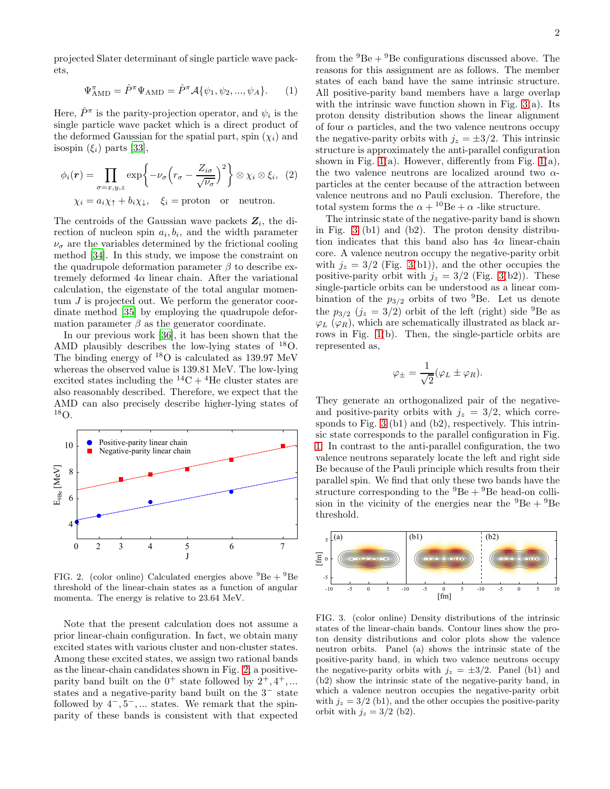projected Slater determinant of single particle wave packets,

$$
\Psi_{\text{AMD}}^{\pi} = \hat{P}^{\pi} \Psi_{\text{AMD}} = \hat{P}^{\pi} \mathcal{A} \{ \psi_1, \psi_2, ..., \psi_A \}. \tag{1}
$$

Here,  $\hat{P}^{\pi}$  is the parity-projection operator, and  $\psi_i$  is the single particle wave packet which is a direct product of the deformed Gaussian for the spatial part, spin  $(\chi_i)$  and isospin  $(\xi_i)$  parts [\[33\]](#page-4-13),

$$
\phi_i(\mathbf{r}) = \prod_{\sigma=x,y,z} \exp\left\{-\nu_\sigma \left(r_\sigma - \frac{Z_{i\sigma}}{\sqrt{\nu_\sigma}}\right)^2\right\} \otimes \chi_i \otimes \xi_i, \tag{2}
$$

$$
\chi_i = a_i \chi_\uparrow + b_i \chi_\downarrow, \quad \xi_i = \text{proton} \quad \text{or} \quad \text{neutron.}
$$

The centroids of the Gaussian wave packets  $Z_i$ , the direction of nucleon spin  $a_i, b_i$ , and the width parameter  $\nu_{\sigma}$  are the variables determined by the frictional cooling method [\[34](#page-4-14)]. In this study, we impose the constraint on the quadrupole deformation parameter  $\beta$  to describe extremely deformed  $4\alpha$  linear chain. After the variational calculation, the eigenstate of the total angular momentum J is projected out. We perform the generator coordinate method [\[35\]](#page-4-15) by employing the quadrupole deformation parameter  $\beta$  as the generator coordinate.

In our previous work [\[36\]](#page-4-16), it has been shown that the AMD plausibly describes the low-lying states of <sup>18</sup>O. The binding energy of  $^{18}O$  is calculated as 139.97 MeV whereas the observed value is 139.81 MeV. The low-lying excited states including the  ${}^{14}C + {}^{4}He$  cluster states are also reasonably described. Therefore, we expect that the AMD can also precisely describe higher-lying states of <sup>18</sup>O.



<span id="page-1-0"></span>FIG. 2. (color online) Calculated energies above  ${}^{9}Be + {}^{9}Be$ threshold of the linear-chain states as a function of angular momenta. The energy is relative to 23.64 MeV.

Note that the present calculation does not assume a prior linear-chain configuration. In fact, we obtain many excited states with various cluster and non-cluster states. Among these excited states, we assign two rational bands as the linear-chain candidates shown in Fig. [2;](#page-1-0) a positiveparity band built on the  $0^+$  state followed by  $2^+, 4^+, \dots$ states and a negative-parity band built on the 3<sup>−</sup> state followed by  $4^-, 5^-, \dots$  states. We remark that the spinparity of these bands is consistent with that expected

from the  ${}^{9}Be + {}^{9}Be$  configurations discussed above. The reasons for this assignment are as follows. The member states of each band have the same intrinsic structure. All positive-parity band members have a large overlap with the intrinsic wave function shown in Fig.  $3(a)$ . Its proton density distribution shows the linear alignment of four  $\alpha$  particles, and the two valence neutrons occupy the negative-parity orbits with  $j_z = \pm 3/2$ . This intrinsic structure is approximately the anti-parallel configuration shown in Fig.  $1(a)$ . However, differently from Fig.  $1(a)$ , the two valence neutrons are localized around two  $\alpha$ particles at the center because of the attraction between valence neutrons and no Pauli exclusion. Therefore, the total system forms the  $\alpha + {}^{10}Be + \alpha$  -like structure.

The intrinsic state of the negative-parity band is shown in Fig. [3](#page-1-1) (b1) and (b2). The proton density distribution indicates that this band also has  $4\alpha$  linear-chain core. A valence neutron occupy the negative-parity orbit with  $j_z = 3/2$  (Fig. [3\(](#page-1-1)b1)), and the other occupies the positive-parity orbit with  $j_z = 3/2$  (Fig. [3\(](#page-1-1)b2)). These single-particle orbits can be understood as a linear combination of the  $p_{3/2}$  orbits of two <sup>9</sup>Be. Let us denote the  $p_{3/2}$   $(j_z = 3/2)$  orbit of the left (right) side <sup>9</sup>Be as  $\varphi_L$  ( $\varphi_R$ ), which are schematically illustrated as black arrows in Fig. [1\(](#page-0-0)b). Then, the single-particle orbits are represented as,

$$
\varphi_{\pm} = \frac{1}{\sqrt{2}} (\varphi_L \pm \varphi_R).
$$

They generate an orthogonalized pair of the negativeand positive-parity orbits with  $j_z = 3/2$ , which corresponds to Fig. [3](#page-1-1) (b1) and (b2), respectively. This intrinsic state corresponds to the parallel configuration in Fig. [1.](#page-0-0) In contrast to the anti-parallel configuration, the two valence neutrons separately locate the left and right side Be because of the Pauli principle which results from their parallel spin. We find that only these two bands have the structure corresponding to the  $^{9}Be + ^{9}Be$  head-on collision in the vicinity of the energies near the  ${}^{9}Be + {}^{9}Be$ threshold.



<span id="page-1-1"></span>FIG. 3. (color online) Density distributions of the intrinsic states of the linear-chain bands. Contour lines show the proton density distributions and color plots show the valence neutron orbits. Panel (a) shows the intrinsic state of the positive-parity band, in which two valence neutrons occupy the negative-parity orbits with  $j_z = \pm 3/2$ . Panel (b1) and (b2) show the intrinsic state of the negative-parity band, in which a valence neutron occupies the negative-parity orbit with  $j_z = 3/2$  (b1), and the other occupies the positive-parity orbit with  $j_z = 3/2$  (b2).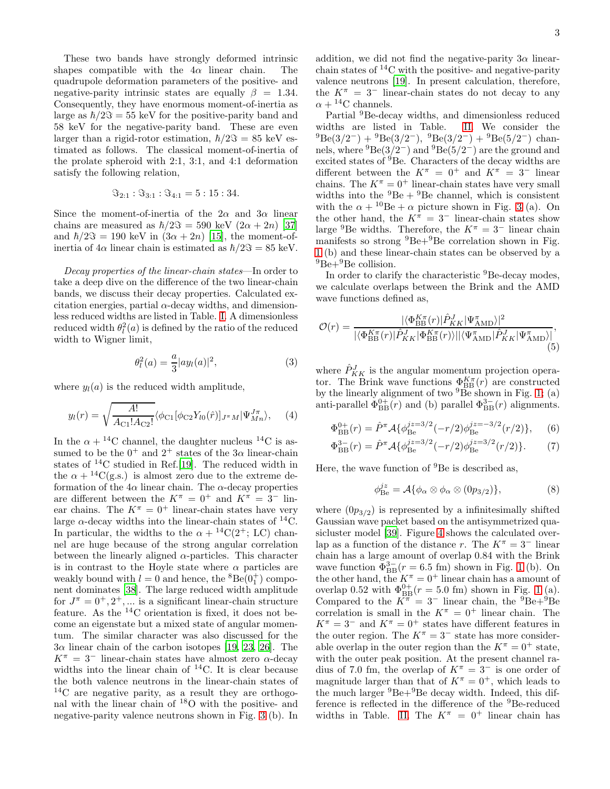These two bands have strongly deformed intrinsic shapes compatible with the  $4\alpha$  linear chain. The quadrupole deformation parameters of the positive- and negative-parity intrinsic states are equally  $\beta = 1.34$ . Consequently, they have enormous moment-of-inertia as large as  $\hbar/2\Im = 55$  keV for the positive-parity band and 58 keV for the negative-parity band. These are even larger than a rigid-rotor estimation,  $\hbar/2\Im = 85$  keV estimated as follows. The classical moment-of-inertia of the prolate spheroid with 2:1, 3:1, and 4:1 deformation satisfy the following relation,

$$
\Im_{2:1} : \Im_{3:1} : \Im_{4:1} = 5 : 15 : 34.
$$

Since the moment-of-inertia of the  $2\alpha$  and  $3\alpha$  linear chains are measured as  $\hbar/2\Im = 590$  keV  $(2\alpha + 2n)$  [\[37](#page-4-17)] and  $\hbar/2\Im = 190 \text{ keV}$  in  $(3\alpha + 2n)$  [\[15](#page-4-18)], the moment-ofinertia of  $4\alpha$  linear chain is estimated as  $\hbar/2\Im = 85$  keV.

Decay properties of the linear-chain states—In order to take a deep dive on the difference of the two linear-chain bands, we discuss their decay properties. Calculated excitation energies, partial  $\alpha$ -decay widths, and dimensionless reduced widths are listed in Table. [I.](#page-3-1) A dimensionless reduced width  $\theta_l^2(a)$  is defined by the ratio of the reduced width to Wigner limit,

$$
\theta_l^2(a) = \frac{a}{3} |ay_l(a)|^2,
$$
\n(3)

where  $y_l(a)$  is the reduced width amplitude,

$$
y_l(r) = \sqrt{\frac{A!}{A_{\rm C1}! A_{\rm C2}!}} \langle \phi_{\rm C1}[\phi_{\rm C2} Y_{l0}(\hat{r})]_{J^{\pi}M} |\Psi_{Mn}^{J\pi} \rangle, \quad (4)
$$

In the  $\alpha + {}^{14}C$  channel, the daughter nucleus  ${}^{14}C$  is assumed to be the  $0^+$  and  $2^+$  states of the  $3\alpha$  linear-chain states of <sup>14</sup>C studied in Ref.[\[19\]](#page-4-19). The reduced width in the  $\alpha + {}^{14}C(g.s.)$  is almost zero due to the extreme deformation of the  $4\alpha$  linear chain. The  $\alpha$ -decay properties are different between the  $K^{\pi} = 0^{+}$  and  $K^{\pi} = 3^{-}$  linear chains. The  $K^{\pi} = 0^{+}$  linear-chain states have very large  $\alpha$ -decay widths into the linear-chain states of <sup>14</sup>C. In particular, the widths to the  $\alpha + {}^{14}C(2^+; LC)$  channel are huge because of the strong angular correlation between the linearly aligned  $\alpha$ -particles. This character is in contrast to the Hoyle state where  $\alpha$  particles are weakly bound with  $l = 0$  and hence, the <sup>8</sup>Be( $0<sub>1</sub><sup>+</sup>$ ) component dominates [\[38](#page-4-20)]. The large reduced width amplitude for  $J^{\pi} = 0^{+}, 2^{+}, \dots$  is a significant linear-chain structure feature. As the  $^{14}$ C orientation is fixed, it does not become an eigenstate but a mixed state of angular momentum. The similar character was also discussed for the  $3\alpha$  linear chain of the carbon isotopes [\[19,](#page-4-19) [23](#page-4-8), [26\]](#page-4-10). The  $K^{\pi} = 3^{-}$  linear-chain states have almost zero  $\alpha$ -decay widths into the linear chain of  $^{14}$ C. It is clear because the both valence neutrons in the linear-chain states of <sup>14</sup>C are negative parity, as a result they are orthogonal with the linear chain of <sup>18</sup>O with the positive- and negative-parity valence neutrons shown in Fig. [3](#page-1-1) (b). In addition, we did not find the negative-parity  $3\alpha$  linearchain states of  ${}^{14}$ C with the positive- and negative-parity valence neutrons [\[19\]](#page-4-19). In present calculation, therefore, the  $K^{\pi} = 3^{-}$  linear-chain states do not decay to any  $\alpha + {}^{14}C$  channels.

Partial <sup>9</sup>Be-decay widths, and dimensionless reduced widths are listed in Table. [II.](#page-3-2) We consider the  ${}^{9}Be(3/2^-) + {}^{9}Be(3/2^-), {}^{9}Be(3/2^-) + {}^{9}Be(5/2^-)$  channels, where  ${}^{9}$ Be(3/2<sup>-</sup>) and  ${}^{9}$ Be(5/2<sup>-</sup>) are the ground and excited states of <sup>9</sup>Be. Characters of the decay widths are different between the  $K^{\pi} = 0^{+}$  and  $K^{\pi} = 3^{-}$  linear chains. The  $K^{\pi} = 0^{+}$  linear-chain states have very small widths into the  ${}^{9}Be + {}^{9}Be$  channel, which is consistent with the  $\alpha + {}^{10}Be + \alpha$  picture shown in Fig. [3](#page-1-1) (a). On the other hand, the  $K^{\pi} = 3^{-}$  linear-chain states show large <sup>9</sup>Be widths. Therefore, the  $K^{\pi} = 3^{-}$  linear chain manifests so strong  ${}^{9}Be+{}^{9}Be$  correlation shown in Fig. [1](#page-0-0) (b) and these linear-chain states can be observed by a  $^{9}Be+^{9}Be$  collision.

In order to clarify the characteristic <sup>9</sup>Be-decay modes, we calculate overlaps between the Brink and the AMD wave functions defined as,

$$
\mathcal{O}(r) = \frac{|\langle \Phi_{\text{BB}}^{K\pi}(r) | \hat{P}_{KK}^J | \Psi_{\text{AMD}}^{\pi} \rangle|^2}{|\langle \Phi_{\text{BB}}^{K\pi}(r) | \hat{P}_{KK}^J | \Phi_{\text{BB}}^{K\pi}(r) \rangle || \langle \Psi_{\text{AMD}}^{\pi} | \hat{P}_{KK}^J | \Psi_{\text{AMD}}^{\pi} \rangle|},\tag{5}
$$

where  $\hat{P}^{J}_{KK}$  is the angular momentum projection operator. The Brink wave functions  $\Phi_{\text{BB}}^{K\pi}(r)$  are constructed by the linearly alignment of two  ${}^{9}$ Be shown in Fig. [1;](#page-0-0) (a) anti-parallel  $\Phi_{\text{BB}}^{0+}(\vec{r})$  and (b) parallel  $\Phi_{\text{BB}}^{3-}(\vec{r})$  alignments.

$$
\Phi_{\rm BB}^{0+}(r) = \hat{P}^{\pi} \mathcal{A} \{ \phi_{\rm Be}^{jz=3/2}(-r/2) \phi_{\rm Be}^{jz=-3/2}(r/2) \}, \quad (6)
$$

$$
\Phi_{\rm BB}^{3-}(r) = \hat{P}^{\pi} \mathcal{A} \{ \phi_{\rm Be}^{jz=3/2}(-r/2) \phi_{\rm Be}^{jz=3/2}(r/2) \}.
$$
 (7)

Here, the wave function of  ${}^{9}$ Be is described as,

$$
\phi_{\text{Be}}^{jz} = \mathcal{A}\{\phi_{\alpha} \otimes \phi_{\alpha} \otimes (0p_{3/2})\},\tag{8}
$$

where  $(0p_{3/2})$  is represented by a infinitesimally shifted Gaussian wave packet based on the antisymmetrized quasicluster model [\[39](#page-4-21)]. Figure [4](#page-4-22) shows the calculated overlap as a function of the distance r. The  $K^{\pi} = 3^{-}$  linear chain has a large amount of overlap 0.84 with the Brink wave function  $\Phi_{\text{BB}}^{3-}(r=6.5 \text{ fm})$  shown in Fig. [1](#page-0-0) (b). On the other hand, the  $K^{\pi} = 0^{+}$  linear chain has a amount of overlap 0.52 with  $\Phi_{\text{BB}}^{0+}(r=5.0 \text{ fm})$  shown in Fig. [1](#page-0-0) (a). Compared to the  $K^{\pi} = 3^-$  linear chain, the <sup>9</sup>Be+<sup>9</sup>Be correlation is small in the  $K^{\pi} = 0^{+}$  linear chain. The  $K^{\pi}$  = 3<sup>-</sup> and  $K^{\pi}$  = 0<sup>+</sup> states have different features in the outer region. The  $K^{\pi} = 3^-$  state has more considerable overlap in the outer region than the  $K^{\pi} = 0^{+}$  state, with the outer peak position. At the present channel radius of 7.0 fm, the overlap of  $K^{\pi} = 3^{-}$  is one order of magnitude larger than that of  $K^{\pi} = 0^{+}$ , which leads to the much larger  ${}^{9}Be+{}^{9}Be$  decay width. Indeed, this difference is reflected in the difference of the <sup>9</sup>Be-reduced widths in Table. [II.](#page-3-2) The  $K^{\pi} = 0^{+}$  linear chain has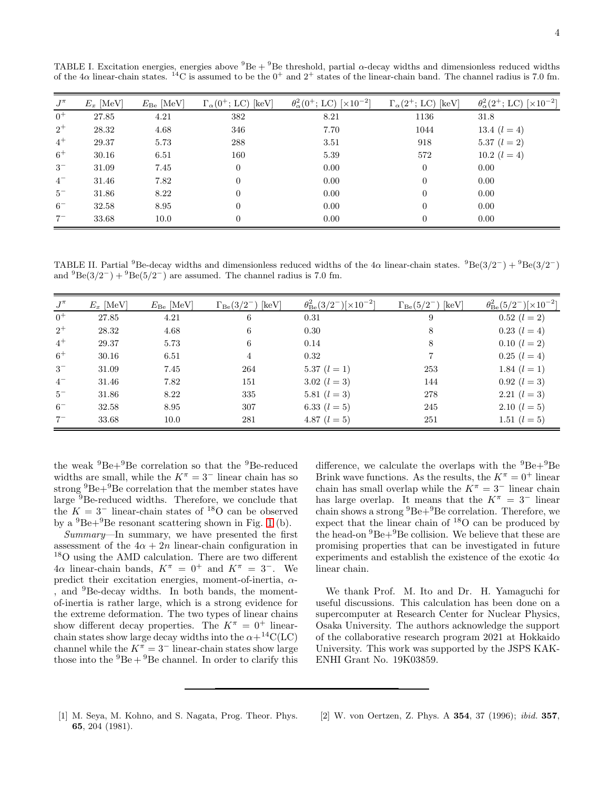| $J^{\pi}$ | $E_x$ [MeV] | $E_{\text{Be}}$ [MeV] | $\Gamma_{\alpha}(0^+; LC)$ [keV] | $\theta_{\alpha}^{2}(0^{+};$ LC) $[\times 10^{-2}]$ | $\Gamma_{\alpha}(2^+; LC)$ [keV] | $\theta_{\alpha}^{2}(2^{+};$ LC) [ $\times 10^{-2}$ ] |
|-----------|-------------|-----------------------|----------------------------------|-----------------------------------------------------|----------------------------------|-------------------------------------------------------|
| $0^+$     | 27.85       | 4.21                  | 382                              | 8.21                                                | 1136                             | 31.8                                                  |
| $2^+$     | 28.32       | 4.68                  | 346                              | 7.70                                                | 1044                             | 13.4 $(l = 4)$                                        |
| $4^+$     | 29.37       | 5.73                  | 288                              | 3.51                                                | 918                              | 5.37 $(l = 2)$                                        |
| $6+$      | 30.16       | 6.51                  | 160                              | 5.39                                                | 572                              | 10.2 $(l = 4)$                                        |
| $3-$      | 31.09       | 7.45                  | $\theta$                         | 0.00                                                | $\theta$                         | 0.00                                                  |
| $4-$      | 31.46       | 7.82                  | $\overline{0}$                   | 0.00                                                | $\theta$                         | 0.00                                                  |
| $5-$      | 31.86       | 8.22                  | $\theta$                         | 0.00                                                | $\theta$                         | 0.00                                                  |
| $6-$      | 32.58       | 8.95                  | $\overline{0}$                   | 0.00                                                | $\Omega$                         | 0.00                                                  |
| $7-$      | 33.68       | 10.0                  | $\theta$                         | 0.00                                                | $\overline{0}$                   | 0.00                                                  |

<span id="page-3-1"></span>TABLE I. Excitation energies, energies above  ${}^{9}Be + {}^{9}Be$  threshold, partial  $\alpha$ -decay widths and dimensionless reduced widths of the 4 $\alpha$  linear-chain states. <sup>14</sup>C is assumed to be the 0<sup>+</sup> and 2<sup>+</sup> states of the linear-chain band. The channel radius is 7.0 fm.

<span id="page-3-2"></span>TABLE II. Partial <sup>9</sup>Be-decay widths and dimensionless reduced widths of the  $4\alpha$  linear-chain states. <sup>9</sup>Be(3/2<sup>-</sup>) + <sup>9</sup>Be(3/2<sup>-</sup>) and  ${}^{9}Be(3/2^-) + {}^{9}Be(5/2^-)$  are assumed. The channel radius is 7.0 fm.

| $J^{\pi}$ | $E_x$ [MeV] | $E_{\text{Be}}$ [MeV] | $\lceil \text{keV} \rceil$<br>$\Gamma_{\rm Be}(3/2^-)$ | $\theta_{\text{Be}}^2(3/2^-)[\times 10^{-2}]$ | $\Gamma_{\rm Be}(5/2^-)$<br>$[\text{keV}]$ | $\theta_{\text{Be}}^{2}(5/2^{-})[\times 10^{-2}]$ |
|-----------|-------------|-----------------------|--------------------------------------------------------|-----------------------------------------------|--------------------------------------------|---------------------------------------------------|
| $0^+$     | 27.85       | 4.21                  | 6                                                      | 0.31                                          | 9                                          | $0.52$ $(l = 2)$                                  |
| $2^+$     | 28.32       | 4.68                  | 6                                                      | 0.30                                          | 8                                          | $0.23$ $(l = 4)$                                  |
| $4^+$     | 29.37       | 5.73                  | 6                                                      | 0.14                                          | 8                                          | $0.10$ $(l = 2)$                                  |
| $6^+$     | 30.16       | 6.51                  | 4                                                      | 0.32                                          |                                            | $0.25$ $(l = 4)$                                  |
| $3-$      | 31.09       | 7.45                  | 264                                                    | 5.37 $(l = 1)$                                | 253                                        | 1.84 $(l = 1)$                                    |
| $4-$      | 31.46       | 7.82                  | 151                                                    | 3.02 $(l = 3)$                                | 144                                        | $0.92$ $(l = 3)$                                  |
| $5-$      | 31.86       | 8.22                  | 335                                                    | 5.81 $(l = 3)$                                | 278                                        | 2.21 $(l = 3)$                                    |
| $6-$      | 32.58       | 8.95                  | 307                                                    | 6.33 $(l = 5)$                                | 245                                        | 2.10 $(l = 5)$                                    |
| $7-$      | 33.68       | 10.0                  | 281                                                    | 4.87 $(l = 5)$                                | 251                                        | 1.51 $(l = 5)$                                    |

the weak  ${}^{9}Be+{}^{9}Be$  correlation so that the  ${}^{9}Be$ -reduced widths are small, while the  $K^{\pi} = 3^{-}$  linear chain has so strong  ${}^{9}Be+{}^{9}Be$  correlation that the member states have large  $9B$ e-reduced widths. Therefore, we conclude that the  $K = 3^-$  linear-chain states of <sup>18</sup>O can be observed by a  ${}^{9}Be+{}^{9}Be$  resonant scattering shown in Fig. [1](#page-0-0) (b).

Summary—In summary, we have presented the first assessment of the  $4\alpha + 2n$  linear-chain configuration in <sup>18</sup>O using the AMD calculation. There are two different  $4\alpha$  linear-chain bands,  $K^{\pi} = 0^{+}$  and  $K^{\pi} = 3^{-}$ . We predict their excitation energies, moment-of-inertia,  $\alpha$ -, and <sup>9</sup>Be-decay widths. In both bands, the momentof-inertia is rather large, which is a strong evidence for the extreme deformation. The two types of linear chains show different decay properties. The  $K^{\pi} = 0^{+}$  linearchain states show large decay widths into the  $\alpha + {}^{14}C(LC)$ channel while the  $K^{\pi} = 3^-$  linear-chain states show large those into the  ${}^{9}Be + {}^{9}Be$  channel. In order to clarify this

difference, we calculate the overlaps with the  ${}^{9}Be+{}^{9}Be$ Brink wave functions. As the results, the  $K^{\pi} = 0^{+}$  linear chain has small overlap while the  $K^{\pi} = 3^-$  linear chain has large overlap. It means that the  $K^{\pi} = 3^-$  linear chain shows a strong  ${}^{9}Be+{}^{9}Be$  correlation. Therefore, we expect that the linear chain of <sup>18</sup>O can be produced by the head-on  ${}^{9}Be+{}^{9}Be$  collision. We believe that these are promising properties that can be investigated in future experiments and establish the existence of the exotic  $4\alpha$ linear chain.

We thank Prof. M. Ito and Dr. H. Yamaguchi for useful discussions. This calculation has been done on a supercomputer at Research Center for Nuclear Physics, Osaka University. The authors acknowledge the support of the collaborative research program 2021 at Hokkaido University. This work was supported by the JSPS KAK-ENHI Grant No. 19K03859.

- <span id="page-3-0"></span>[1] M. Seya, M. Kohno, and S. Nagata, Prog. Theor. Phys. 65, 204 (1981).
- [2] W. von Oertzen, Z. Phys. A 354, 37 (1996); ibid. 357,